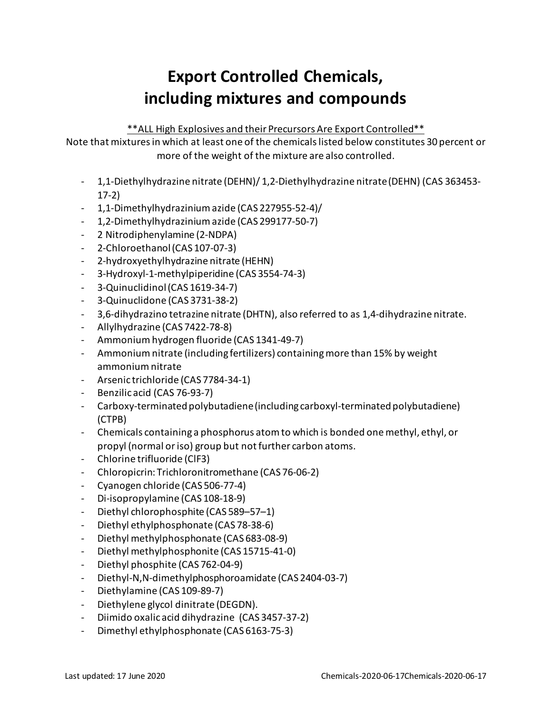## **Export Controlled Chemicals, including mixtures and compounds**

\*\*ALL High Explosives and their Precursors Are Export Controlled\*\*

Note that mixtures in which at least one of the chemicals listed below constitutes 30 percent or more of the weight of the mixture are also controlled.

- 1,1-Diethylhydrazine nitrate (DEHN)/ 1,2-Diethylhydrazine nitrate (DEHN) (CAS 363453- 17-2)
- 1,1-Dimethylhydrazinium azide (CAS 227955-52-4)/
- 1,2-Dimethylhydrazinium azide (CAS 299177-50-7)
- 2 Nitrodiphenylamine (2-NDPA)
- 2-Chloroethanol(CAS 107-07-3)
- 2-hydroxyethylhydrazine nitrate (HEHN)
- 3-Hydroxyl-1-methylpiperidine (CAS 3554-74-3)
- 3-Quinuclidinol(CAS 1619-34-7)
- 3-Quinuclidone (CAS 3731-38-2)
- 3,6-dihydrazino tetrazine nitrate (DHTN), also referred to as 1,4-dihydrazine nitrate.
- Allylhydrazine (CAS 7422-78-8)
- Ammonium hydrogen fluoride (CAS 1341-49-7)
- Ammonium nitrate (including fertilizers) containing more than 15% by weight ammonium nitrate
- Arsenic trichloride (CAS 7784-34-1)
- Benzilic acid (CAS 76-93-7)
- Carboxy-terminated polybutadiene(including carboxyl-terminated polybutadiene) (CTPB)
- Chemicals containing a phosphorus atom to which is bonded one methyl, ethyl, or propyl (normal or iso) group but not further carbon atoms.
- Chlorine trifluoride (ClF3)
- Chloropicrin: Trichloronitromethane (CAS 76-06-2)
- Cyanogen chloride (CAS 506-77-4)
- Di-isopropylamine (CAS 108-18-9)
- Diethyl chlorophosphite (CAS 589–57–1)
- Diethyl ethylphosphonate (CAS 78-38-6)
- Diethyl methylphosphonate (CAS 683-08-9)
- Diethyl methylphosphonite (CAS 15715-41-0)
- Diethyl phosphite (CAS 762-04-9)
- Diethyl-N,N-dimethylphosphoroamidate (CAS 2404-03-7)
- Diethylamine (CAS 109-89-7)
- Diethylene glycol dinitrate (DEGDN).
- Diimido oxalic acid dihydrazine (CAS 3457-37-2)
- Dimethyl ethylphosphonate (CAS 6163-75-3)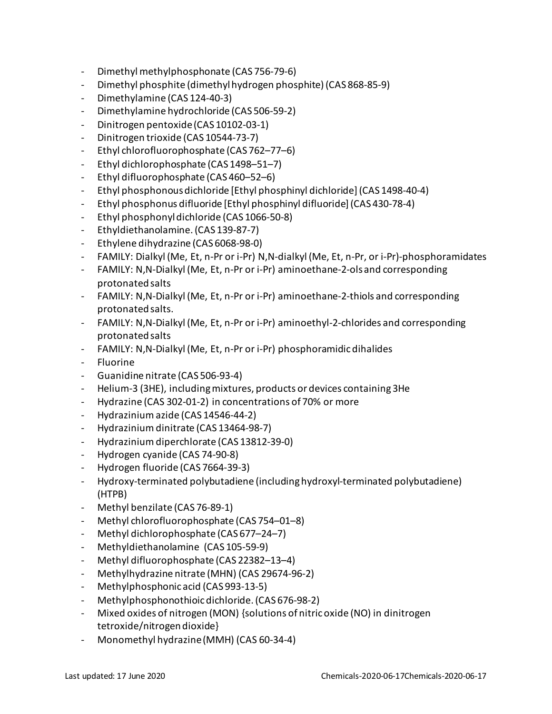- Dimethyl methylphosphonate (CAS 756-79-6)
- Dimethyl phosphite (dimethyl hydrogen phosphite) (CAS 868-85-9)
- Dimethylamine (CAS 124-40-3)
- Dimethylamine hydrochloride (CAS 506-59-2)
- Dinitrogen pentoxide (CAS 10102-03-1)
- Dinitrogen trioxide (CAS 10544-73-7)
- Ethyl chlorofluorophosphate (CAS 762–77–6)
- Ethyl dichlorophosphate (CAS 1498–51–7)
- Ethyl difluorophosphate (CAS 460–52–6)
- Ethyl phosphonousdichloride [Ethyl phosphinyl dichloride](CAS 1498-40-4)
- Ethyl phosphonus difluoride [Ethyl phosphinyl difluoride](CAS 430-78-4)
- Ethyl phosphonyl dichloride (CAS 1066-50-8)
- Ethyldiethanolamine.(CAS 139-87-7)
- Ethylene dihydrazine (CAS 6068-98-0)
- FAMILY: Dialkyl (Me, Et, n-Pr or i-Pr) N,N-dialkyl (Me, Et, n-Pr, or i-Pr)-phosphoramidates
- FAMILY: N,N-Dialkyl (Me, Et, n-Pr or i-Pr) aminoethane-2-ols and corresponding protonated salts
- FAMILY: N,N-Dialkyl (Me, Et, n-Pr or i-Pr) aminoethane-2-thiols and corresponding protonated salts.
- FAMILY: N,N-Dialkyl (Me, Et, n-Pr or i-Pr) aminoethyl-2-chlorides and corresponding protonated salts
- FAMILY: N,N-Dialkyl (Me, Et, n-Pr or i-Pr) phosphoramidic dihalides
- Fluorine
- Guanidine nitrate (CAS 506-93-4)
- Helium-3 (3HE), including mixtures, products or devices containing 3He
- Hydrazine (CAS 302-01-2) in concentrations of 70% or more
- Hydrazinium azide (CAS 14546-44-2)
- Hydrazinium dinitrate (CAS 13464-98-7)
- Hydrazinium diperchlorate (CAS 13812-39-0)
- Hydrogen cyanide (CAS 74-90-8)
- Hydrogen fluoride (CAS 7664-39-3)
- Hydroxy-terminated polybutadiene (including hydroxyl-terminated polybutadiene) (HTPB)
- Methyl benzilate (CAS 76-89-1)
- Methyl chlorofluorophosphate (CAS 754–01–8)
- Methyl dichlorophosphate (CAS 677–24–7)
- Methyldiethanolamine (CAS 105-59-9)
- Methyl difluorophosphate (CAS 22382–13–4)
- Methylhydrazine nitrate (MHN) (CAS 29674-96-2)
- Methylphosphonic acid (CAS 993-13-5)
- Methylphosphonothioic dichloride.(CAS 676-98-2)
- Mixed oxides of nitrogen (MON) {solutions of nitric oxide (NO) in dinitrogen tetroxide/nitrogen dioxide}
- Monomethyl hydrazine (MMH) (CAS 60-34-4)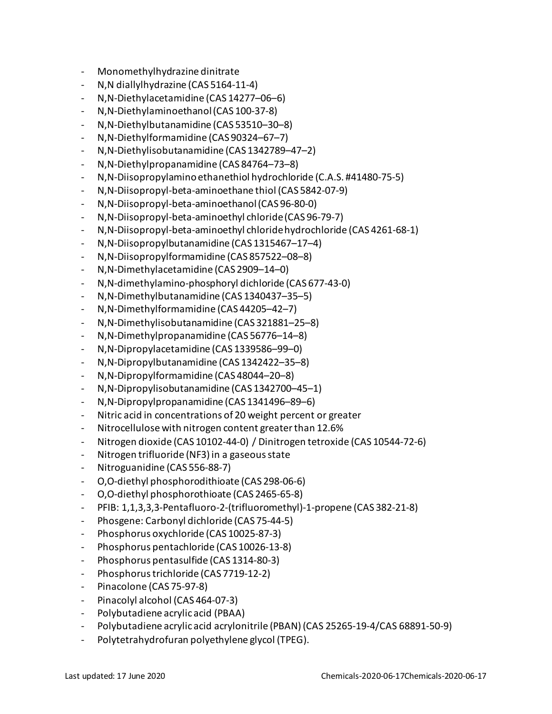- Monomethylhydrazine dinitrate
- N,N diallylhydrazine (CAS 5164-11-4)
- N,N-Diethylacetamidine (CAS 14277–06–6)
- N,N-Diethylaminoethanol(CAS 100-37-8)
- N,N-Diethylbutanamidine (CAS 53510–30–8)
- N,N-Diethylformamidine (CAS 90324–67–7)
- N,N-Diethylisobutanamidine (CAS 1342789–47–2)
- N,N-Diethylpropanamidine (CAS 84764–73–8)
- N,N-Diisopropylamino ethanethiol hydrochloride (C.A.S. #41480-75-5)
- N,N-Diisopropyl-beta-aminoethane thiol (CAS 5842-07-9)
- N,N-Diisopropyl-beta-aminoethanol(CAS 96-80-0)
- N,N-Diisopropyl-beta-aminoethyl chloride(CAS 96-79-7)
- N,N-Diisopropyl-beta-aminoethyl chloride hydrochloride (CAS 4261-68-1)
- N,N-Diisopropylbutanamidine (CAS 1315467–17–4)
- N,N-Diisopropylformamidine (CAS 857522–08–8)
- N,N-Dimethylacetamidine (CAS 2909–14–0)
- N,N-dimethylamino-phosphoryl dichloride (CAS 677-43-0)
- N,N-Dimethylbutanamidine (CAS 1340437–35–5)
- N,N-Dimethylformamidine (CAS 44205–42–7)
- N,N-Dimethylisobutanamidine (CAS 321881–25–8)
- N,N-Dimethylpropanamidine (CAS 56776–14–8)
- N,N-Dipropylacetamidine (CAS 1339586–99–0)
- N,N-Dipropylbutanamidine (CAS 1342422–35–8)
- N,N-Dipropylformamidine (CAS 48044–20–8)
- N,N-Dipropylisobutanamidine (CAS 1342700–45–1)
- N,N-Dipropylpropanamidine (CAS 1341496–89–6)
- Nitric acid in concentrations of 20 weight percent or greater
- Nitrocellulose with nitrogen content greater than 12.6%
- Nitrogen dioxide (CAS 10102-44-0) / Dinitrogen tetroxide (CAS 10544-72-6)
- Nitrogen trifluoride (NF3) in a gaseous state
- Nitroguanidine (CAS 556-88-7)
- O,O-diethyl phosphorodithioate (CAS 298-06-6)
- O,O-diethyl phosphorothioate (CAS 2465-65-8)
- PFIB: 1,1,3,3,3-Pentafluoro-2-(trifluoromethyl)-1-propene (CAS 382-21-8)
- Phosgene: Carbonyl dichloride (CAS 75-44-5)
- Phosphorus oxychloride (CAS 10025-87-3)
- Phosphorus pentachloride (CAS 10026-13-8)
- Phosphorus pentasulfide (CAS 1314-80-3)
- Phosphorus trichloride (CAS 7719-12-2)
- Pinacolone (CAS 75-97-8)
- Pinacolyl alcohol (CAS 464-07-3)
- Polybutadiene acrylic acid (PBAA)
- Polybutadiene acrylic acid acrylonitrile (PBAN) (CAS 25265-19-4/CAS 68891-50-9)
- Polytetrahydrofuran polyethylene glycol (TPEG).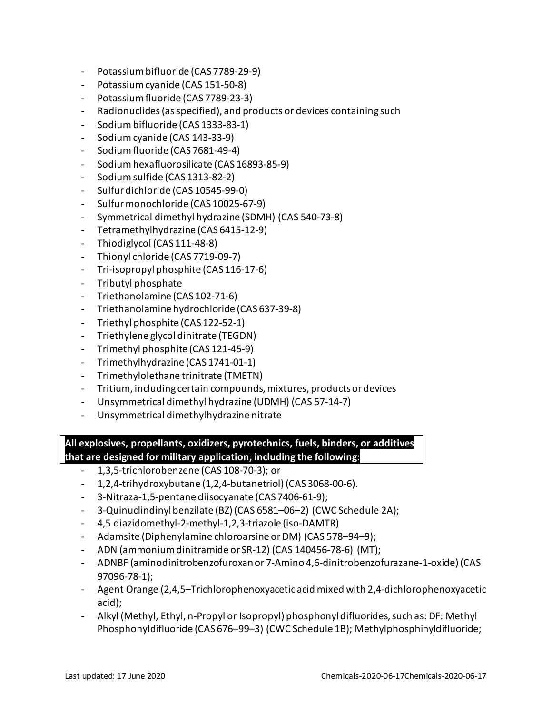- Potassium bifluoride (CAS 7789-29-9)
- Potassium cyanide (CAS 151-50-8)
- Potassium fluoride (CAS 7789-23-3)
- Radionuclides (as specified), and products or devices containing such
- Sodium bifluoride (CAS 1333-83-1)
- Sodium cyanide (CAS 143-33-9)
- Sodium fluoride (CAS 7681-49-4)
- Sodium hexafluorosilicate (CAS 16893-85-9)
- Sodium sulfide (CAS 1313-82-2)
- Sulfur dichloride (CAS 10545-99-0)
- Sulfur monochloride (CAS 10025-67-9)
- Symmetrical dimethyl hydrazine (SDMH) (CAS 540-73-8)
- Tetramethylhydrazine (CAS 6415-12-9)
- Thiodiglycol (CAS 111-48-8)
- Thionyl chloride (CAS 7719-09-7)
- Tri-isopropyl phosphite (CAS 116-17-6)
- Tributyl phosphate
- Triethanolamine (CAS 102-71-6)
- Triethanolamine hydrochloride (CAS 637-39-8)
- Triethyl phosphite (CAS 122-52-1)
- Triethylene glycol dinitrate (TEGDN)
- Trimethyl phosphite (CAS 121-45-9)
- Trimethylhydrazine (CAS 1741-01-1)
- Trimethylolethane trinitrate (TMETN)
- Tritium, including certain compounds, mixtures, products or devices
- Unsymmetrical dimethyl hydrazine (UDMH) (CAS 57-14-7)
- Unsymmetrical dimethylhydrazine nitrate

**All explosives, propellants, oxidizers, pyrotechnics, fuels, binders, or additives that are designed for military application, including the following:**

- 1,3,5-trichlorobenzene (CAS 108-70-3); or
- 1,2,4-trihydroxybutane (1,2,4-butanetriol) (CAS 3068-00-6).
- 3-Nitraza-1,5-pentane diisocyanate (CAS 7406-61-9);
- 3-Quinuclindinyl benzilate (BZ) (CAS 6581–06–2) (CWC Schedule 2A);
- 4,5 diazidomethyl-2-methyl-1,2,3-triazole (iso-DAMTR)
- Adamsite (Diphenylamine chloroarsine or DM) (CAS 578–94–9);
- ADN (ammonium dinitramide or SR-12) (CAS 140456-78-6) (MT);
- ADNBF (aminodinitrobenzofuroxan or 7-Amino 4,6-dinitrobenzofurazane-1-oxide) (CAS 97096-78-1);
- Agent Orange (2,4,5–Trichlorophenoxyacetic acid mixed with 2,4-dichlorophenoxyacetic acid);
- Alkyl (Methyl, Ethyl, n-Propyl or Isopropyl) phosphonyl difluorides, such as: DF: Methyl Phosphonyldifluoride (CAS 676–99–3) (CWC Schedule 1B); Methylphosphinyldifluoride;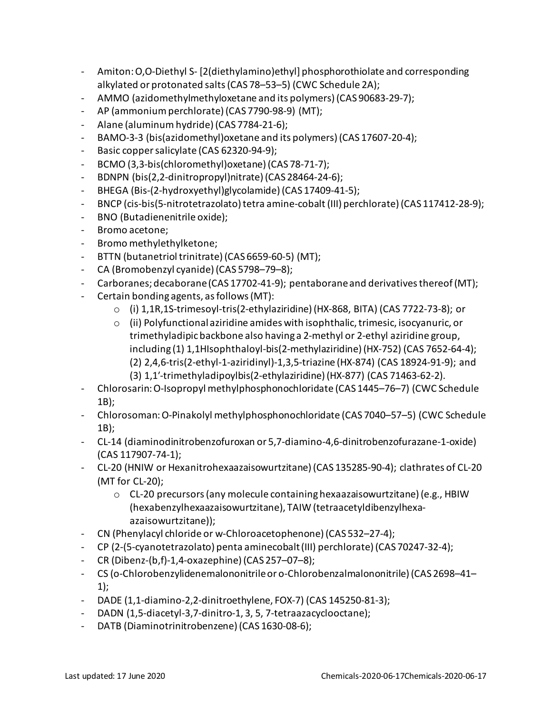- Amiton: O,O-Diethyl S- [2(diethylamino)ethyl] phosphorothiolate and corresponding alkylated or protonated salts (CAS 78–53–5) (CWC Schedule 2A);
- AMMO (azidomethylmethyloxetane and its polymers)(CAS 90683-29-7);
- AP (ammonium perchlorate) (CAS 7790-98-9) (MT);
- Alane (aluminum hydride) (CAS 7784-21-6);
- BAMO-3-3 (bis(azidomethyl) oxetane and its polymers) (CAS 17607-20-4);
- Basic copper salicylate (CAS 62320-94-9);
- BCMO (3,3-bis(chloromethyl)oxetane) (CAS 78-71-7);
- BDNPN (bis(2,2-dinitropropyl)nitrate) (CAS 28464-24-6);
- BHEGA (Bis-(2-hydroxyethyl)glycolamide) (CAS 17409-41-5);
- BNCP (cis-bis(5-nitrotetrazolato) tetra amine-cobalt (III) perchlorate) (CAS 117412-28-9);
- BNO (Butadienenitrile oxide);
- Bromo acetone;
- Bromo methylethylketone;
- BTTN (butanetriol trinitrate) (CAS 6659-60-5) (MT);
- CA (Bromobenzyl cyanide) (CAS 5798–79–8);
- Carboranes; decaborane (CAS 17702-41-9); pentaboraneand derivatives thereof (MT);
- Certain bonding agents, as follows (MT):
	- o (i) 1,1R,1S-trimesoyl-tris(2-ethylaziridine) (HX-868, BITA) (CAS 7722-73-8); or
	- o (ii) Polyfunctional aziridine amides with isophthalic, trimesic, isocyanuric, or trimethyladipic backbone also having a 2-methyl or 2-ethyl aziridine group, including (1) 1,1HIsophthaloyl-bis(2-methylaziridine) (HX-752) (CAS 7652-64-4); (2) 2,4,6-tris(2-ethyl-1-aziridinyl)-1,3,5-triazine (HX-874) (CAS 18924-91-9); and (3) 1,1′-trimethyladipoylbis(2-ethylaziridine) (HX-877) (CAS 71463-62-2).
- Chlorosarin: O-Isopropyl methylphosphonochloridate (CAS 1445–76–7) (CWC Schedule 1B);
- Chlorosoman: O-Pinakolyl methylphosphonochloridate (CAS 7040–57–5) (CWC Schedule 1B);
- CL-14 (diaminodinitrobenzofuroxan or 5,7-diamino-4,6-dinitrobenzofurazane-1-oxide) (CAS 117907-74-1);
- CL-20 (HNIW or Hexanitrohexaazaisowurtzitane) (CAS 135285-90-4); clathrates of CL-20 (MT for CL-20);
	- $\circ$  CL-20 precursors (any molecule containing hexaazaisowurtzitane) (e.g., HBIW (hexabenzylhexaazaisowurtzitane), TAIW (tetraacetyldibenzylhexaazaisowurtzitane));
- CN (Phenylacyl chloride or w-Chloroacetophenone) (CAS 532–27-4);
- CP (2-(5-cyanotetrazolato) penta aminecobalt (III) perchlorate) (CAS 70247-32-4);
- CR (Dibenz-(b,f)-1,4-oxazephine) (CAS 257–07–8);
- CS (o-Chlorobenzylidenemalononitrileor o-Chlorobenzalmalononitrile) (CAS 2698–41– 1);
- DADE (1,1-diamino-2,2-dinitroethylene, FOX-7) (CAS 145250-81-3);
- DADN (1,5-diacetyl-3,7-dinitro-1, 3, 5, 7-tetraazacyclooctane);
- DATB (Diaminotrinitrobenzene) (CAS 1630-08-6);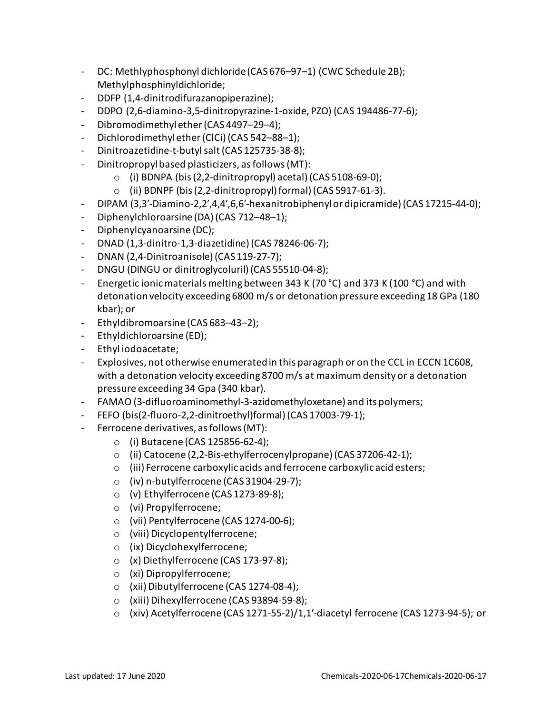- DC: Methlyphosphonyl dichloride (CAS 676–97–1) (CWC Schedule 2B); Methylphosphinyldichloride;
- DDFP (1,4-dinitrodifurazanopiperazine);
- DDPO (2,6-diamino-3,5-dinitropyrazine-1-oxide, PZO) (CAS 194486-77-6);
- Dibromodimethyl ether (CAS 4497–29–4);
- Dichlorodimethyl ether (ClCi) (CAS 542–88–1);
- Dinitroazetidine-t-butyl salt (CAS 125735-38-8);
- Dinitropropyl based plasticizers, as follows (MT):
	- $\circ$  (i) BDNPA (bis (2,2-dinitropropyl) acetal) (CAS 5108-69-0);
	- $\circ$  (ii) BDNPF (bis (2,2-dinitropropyl) formal) (CAS 5917-61-3).
- DIPAM (3,3′-Diamino-2,2′,4,4′,6,6′-hexanitrobiphenyl or dipicramide) (CAS 17215-44-0);
- Diphenylchloroarsine (DA) (CAS 712–48–1);
- Diphenylcyanoarsine (DC);
- DNAD (1,3-dinitro-1,3-diazetidine) (CAS 78246-06-7);
- DNAN (2,4-Dinitroanisole) (CAS 119-27-7);
- DNGU (DINGU or dinitroglycoluril) (CAS 55510-04-8);
- Energetic ionic materials melting between 343 K (70 °C) and 373 K (100 °C) and with detonationvelocity exceeding 6800 m/s or detonation pressure exceeding 18 GPa (180 kbar); or
- Ethyldibromoarsine (CAS 683–43–2);
- Ethyldichloroarsine (ED);
- Ethyl iodoacetate;
- Explosives, not otherwise enumerated in this paragraph or on the CCL in ECCN 1C608, with a detonation velocity exceeding 8700 m/s at maximum density or a detonation pressure exceeding 34 Gpa (340 kbar).
- FAMAO (3-difluoroaminomethyl-3-azidomethyloxetane) and its polymers;
- FEFO (bis(2-fluoro-2,2-dinitroethyl)formal) (CAS 17003-79-1);
- Ferrocene derivatives, as follows (MT):
	- o (i) Butacene (CAS 125856-62-4);
	- o (ii) Catocene (2,2-Bis-ethylferrocenylpropane) (CAS 37206-42-1);
	- o (iii) Ferrocene carboxylic acids and ferrocene carboxylic acid esters;
	- o (iv) n-butylferrocene (CAS 31904-29-7);
	- o (v) Ethylferrocene (CAS 1273-89-8);
	- o (vi) Propylferrocene;
	- o (vii) Pentylferrocene (CAS 1274-00-6);
	- o (viii) Dicyclopentylferrocene;
	- o (ix) Dicyclohexylferrocene;
	- o (x) Diethylferrocene (CAS 173-97-8);
	- o (xi) Dipropylferrocene;
	- o (xii) Dibutylferrocene (CAS 1274-08-4);
	- o (xiii) Dihexylferrocene (CAS 93894-59-8);
	- o (xiv) Acetylferrocene (CAS 1271-55-2)/1,1′-diacetyl ferrocene (CAS 1273-94-5); or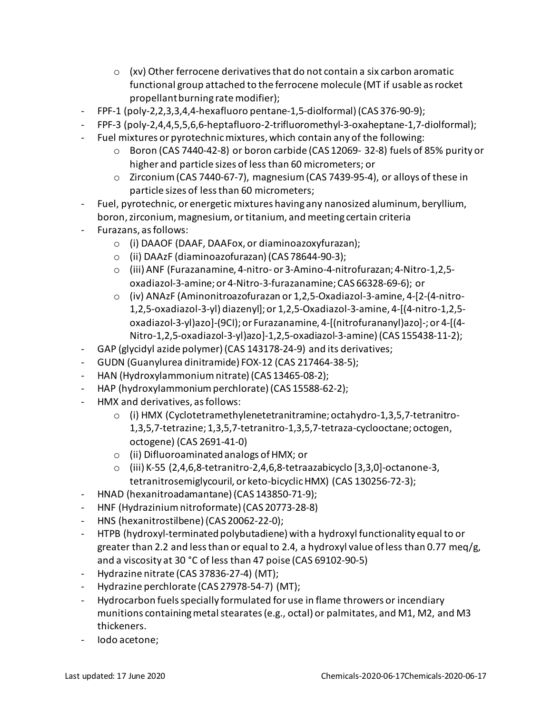- $\circ$  (xv) Other ferrocene derivatives that do not contain a six carbon aromatic functional group attached to the ferrocene molecule (MT if usable as rocket propellant burning rate modifier);
- FPF-1 (poly-2,2,3,3,4,4-hexafluoro pentane-1,5-diolformal) (CAS 376-90-9);
- FPF-3 (poly-2,4,4,5,5,6,6-heptafluoro-2-trifluoromethyl-3-oxaheptane-1,7-diolformal);
- Fuel mixtures or pyrotechnic mixtures, which contain any of the following:
	- o Boron (CAS 7440-42-8) or boron carbide (CAS 12069- 32-8) fuels of 85% purity or higher and particle sizes of less than 60 micrometers; or
	- o Zirconium (CAS 7440-67-7), magnesium (CAS 7439-95-4), or alloys of these in particle sizes of less than 60 micrometers;
- Fuel, pyrotechnic, or energetic mixtures having any nanosized aluminum, beryllium, boron, zirconium, magnesium, or titanium, and meeting certain criteria
- Furazans, as follows:
	- o (i) DAAOF (DAAF, DAAFox, or diaminoazoxyfurazan);
	- o (ii) DAAzF (diaminoazofurazan) (CAS 78644-90-3);
	- o (iii) ANF (Furazanamine, 4-nitro- or 3-Amino-4-nitrofurazan; 4-Nitro-1,2,5 oxadiazol-3-amine; or 4-Nitro-3-furazanamine; CAS 66328-69-6); or
	- o (iv) ANAzF (Aminonitroazofurazan or 1,2,5-Oxadiazol-3-amine, 4-[2-(4-nitro-1,2,5-oxadiazol-3-yl) diazenyl]; or 1,2,5-Oxadiazol-3-amine, 4-[(4-nitro-1,2,5 oxadiazol-3-yl)azo]-(9CI); or Furazanamine, 4-[(nitrofurananyl)azo]-; or 4-[(4- Nitro-1,2,5-oxadiazol-3-yl)azo]-1,2,5-oxadiazol-3-amine)(CAS 155438-11-2);
- GAP (glycidyl azide polymer) (CAS 143178-24-9) and its derivatives;
- GUDN (Guanylurea dinitramide) FOX-12 (CAS 217464-38-5);
- HAN (Hydroxylammonium nitrate) (CAS 13465-08-2);
- HAP (hydroxylammonium perchlorate) (CAS 15588-62-2);
- HMX and derivatives, as follows:
	- o (i) HMX (Cyclotetramethylenetetranitramine; octahydro-1,3,5,7-tetranitro-1,3,5,7-tetrazine; 1,3,5,7-tetranitro-1,3,5,7-tetraza-cyclooctane; octogen, octogene) (CAS 2691-41-0)
	- o (ii) Difluoroaminated analogs of HMX; or
	- o (iii) K-55 (2,4,6,8-tetranitro-2,4,6,8-tetraazabicyclo [3,3,0]-octanone-3, tetranitrosemiglycouril, or keto-bicyclic HMX) (CAS 130256-72-3);
- HNAD (hexanitroadamantane) (CAS 143850-71-9);
- HNF (Hydrazinium nitroformate) (CAS 20773-28-8)
- HNS (hexanitrostilbene) (CAS 20062-22-0);
- HTPB (hydroxyl-terminated polybutadiene) with a hydroxyl functionality equal to or greater than 2.2 and less than or equal to 2.4, a hydroxyl value of less than 0.77 meg/g, and a viscosity at 30 °C of less than 47 poise (CAS 69102-90-5)
- Hydrazine nitrate (CAS 37836-27-4) (MT);
- Hydrazine perchlorate (CAS 27978-54-7) (MT);
- Hydrocarbon fuels specially formulated for use in flame throwers or incendiary munitions containing metal stearates(e.g., octal) or palmitates, and M1, M2, and M3 thickeners.
- Iodo acetone;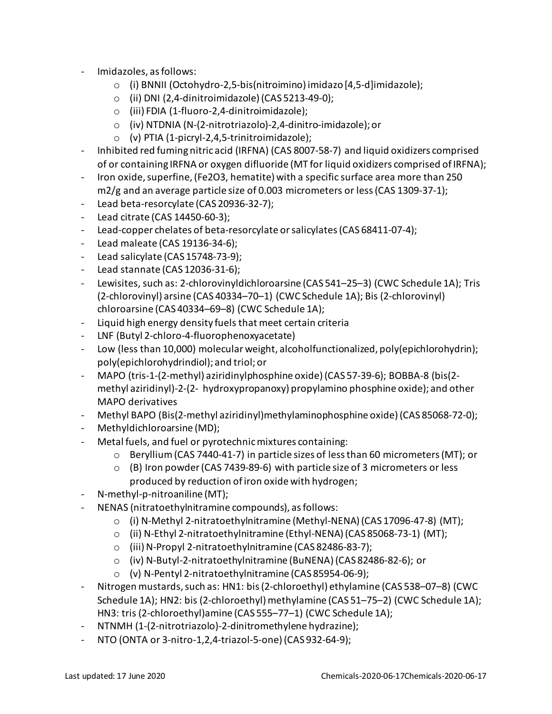- Imidazoles, as follows:
	- o (i) BNNII (Octohydro-2,5-bis(nitroimino) imidazo [4,5-d]imidazole);
	- o (ii) DNI (2,4-dinitroimidazole) (CAS 5213-49-0);
	- o (iii) FDIA (1-fluoro-2,4-dinitroimidazole);
	- o (iv) NTDNIA (N-(2-nitrotriazolo)-2,4-dinitro-imidazole); or
	- o (v) PTIA (1-picryl-2,4,5-trinitroimidazole);
- Inhibited red fuming nitric acid (IRFNA) (CAS 8007-58-7) and liquid oxidizers comprised of or containing IRFNA or oxygen difluoride (MT for liquid oxidizers comprised ofIRFNA);
- Iron oxide, superfine,(Fe2O3, hematite) with a specific surface area more than 250 m2/g and an average particle size of 0.003 micrometers or less (CAS 1309-37-1);
- Lead beta-resorcylate (CAS 20936-32-7);
- Lead citrate (CAS 14450-60-3);
- Lead-copper chelates of beta-resorcylate or salicylates(CAS 68411-07-4);
- Lead maleate (CAS 19136-34-6);
- Lead salicylate (CAS 15748-73-9);
- Lead stannate (CAS 12036-31-6);
- Lewisites, such as: 2-chlorovinyldichloroarsine (CAS 541–25–3) (CWC Schedule 1A); Tris (2-chlorovinyl) arsine (CAS 40334–70–1) (CWC Schedule 1A); Bis (2-chlorovinyl) chloroarsine (CAS 40334–69–8) (CWC Schedule 1A);
- Liquid high energy density fuels that meet certain criteria
- LNF (Butyl 2-chloro-4-fluorophenoxyacetate)
- Low (less than 10,000) molecular weight, alcoholfunctionalized, poly(epichlorohydrin); poly(epichlorohydrindiol); and triol; or
- MAPO (tris-1-(2-methyl) aziridinylphosphine oxide)(CAS 57-39-6); BOBBA-8 (bis(2 methyl aziridinyl)-2-(2- hydroxypropanoxy) propylamino phosphine oxide); and other MAPO derivatives
- Methyl BAPO (Bis(2-methyl aziridinyl)methylaminophosphine oxide) (CAS 85068-72-0);
- Methyldichloroarsine (MD);
- Metal fuels, and fuel or pyrotechnic mixtures containing:
	- o Beryllium (CAS 7440-41-7) in particle sizes of less than 60 micrometers (MT); or
	- $\circ$  (B) Iron powder (CAS 7439-89-6) with particle size of 3 micrometers or less produced by reduction of iron oxide with hydrogen;
- N-methyl-p-nitroaniline (MT);
- NENAS (nitratoethylnitramine compounds), as follows:
	- o (i) N-Methyl 2-nitratoethylnitramine (Methyl-NENA) (CAS 17096-47-8) (MT);
	- o (ii) N-Ethyl 2-nitratoethylnitramine (Ethyl-NENA) (CAS 85068-73-1) (MT);
	- o (iii) N-Propyl 2-nitratoethylnitramine (CAS 82486-83-7);
	- o (iv) N-Butyl-2-nitratoethylnitramine (BuNENA) (CAS 82486-82-6); or
	- o (v) N-Pentyl 2-nitratoethylnitramine (CAS 85954-06-9);
- Nitrogen mustards, such as: HN1: bis(2-chloroethyl) ethylamine (CAS 538–07–8) (CWC Schedule 1A); HN2: bis (2-chloroethyl) methylamine (CAS 51-75-2) (CWC Schedule 1A); HN3: tris (2-chloroethyl)amine (CAS 555–77–1) (CWC Schedule 1A);
- NTNMH (1-(2-nitrotriazolo)-2-dinitromethylene hydrazine);
- NTO (ONTA or 3-nitro-1,2,4-triazol-5-one) (CAS 932-64-9);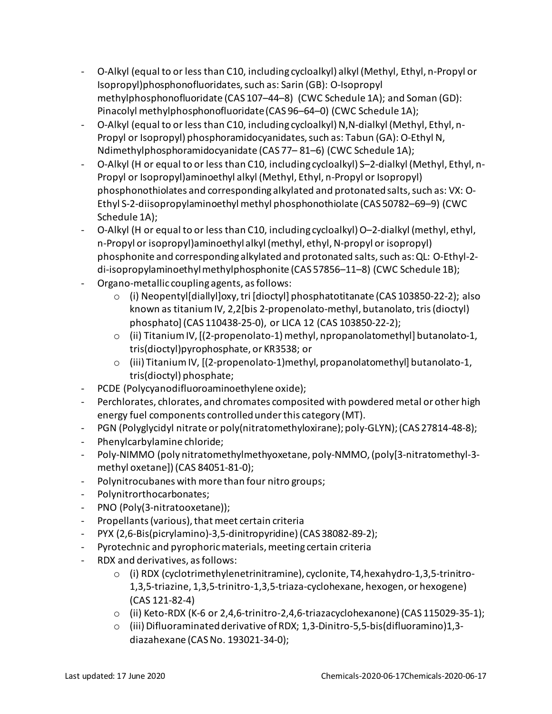- O-Alkyl (equal to or less than C10, including cycloalkyl) alkyl (Methyl, Ethyl, n-Propyl or Isopropyl)phosphonofluoridates, such as: Sarin (GB): O-Isopropyl methylphosphonofluoridate (CAS 107–44–8) (CWC Schedule 1A); and Soman (GD): Pinacolyl methylphosphonofluoridate (CAS 96–64–0) (CWC Schedule 1A);
- O-Alkyl (equal to or less than C10, including cycloalkyl) N,N-dialkyl (Methyl, Ethyl, n-Propyl or Isopropyl) phosphoramidocyanidates, such as: Tabun (GA): O-Ethyl N, Ndimethylphosphoramidocyanidate (CAS 77– 81–6) (CWC Schedule 1A);
- O-Alkyl (H or equal to or less than C10, including cycloalkyl) S–2-dialkyl (Methyl, Ethyl, n-Propyl or Isopropyl)aminoethyl alkyl (Methyl, Ethyl, n-Propyl or Isopropyl) phosphonothiolates and corresponding alkylated and protonated salts, such as: VX: O-Ethyl S-2-diisopropylaminoethyl methyl phosphonothiolate (CAS 50782–69–9) (CWC Schedule 1A);
- O-Alkyl (H or equal to or less than C10, including cycloalkyl) O–2-dialkyl (methyl, ethyl, n-Propyl or isopropyl)aminoethyl alkyl (methyl, ethyl, N-propyl or isopropyl) phosphonite and corresponding alkylated and protonated salts, such as: QL: O-Ethyl-2 di-isopropylaminoethyl methylphosphonite (CAS 57856-11-8) (CWC Schedule 1B);
- Organo-metallic coupling agents, as follows:
	- o (i) Neopentyl[diallyl]oxy, tri [dioctyl] phosphatotitanate (CAS 103850-22-2); also known as titanium IV, 2,2[bis 2-propenolato-methyl, butanolato, tris (dioctyl) phosphato](CAS 110438-25-0), or LICA 12 (CAS 103850-22-2);
	- $\circ$  (ii) Titanium IV, [(2-propenolato-1) methyl, npropanolatomethyl] butanolato-1, tris(dioctyl)pyrophosphate, or KR3538; or
	- $\circ$  (iii) Titanium IV,  $[(2-propenolato-1)$ methyl, propanolatomethyl] butanolato-1, tris(dioctyl) phosphate;
- PCDE (Polycyanodifluoroaminoethylene oxide);
- Perchlorates, chlorates, and chromates composited with powdered metal or other high energy fuel components controlled under this category (MT).
- PGN (Polyglycidyl nitrate or poly(nitratomethyloxirane); poly-GLYN); (CAS 27814-48-8);
- Phenylcarbylamine chloride;
- Poly-NIMMO (poly nitratomethylmethyoxetane, poly-NMMO, (poly[3-nitratomethyl-3 methyl oxetane]) (CAS 84051-81-0);
- Polynitrocubanes with more than four nitro groups;
- Polynitrorthocarbonates;
- PNO (Poly(3-nitratooxetane));
- Propellants(various), that meet certain criteria
- PYX (2,6-Bis(picrylamino)-3,5-dinitropyridine) (CAS 38082-89-2);
- Pyrotechnic and pyrophoric materials, meeting certain criteria
- RDX and derivatives, as follows:
	- o (i) RDX (cyclotrimethylenetrinitramine), cyclonite, T4,hexahydro-1,3,5-trinitro-1,3,5-triazine, 1,3,5-trinitro-1,3,5-triaza-cyclohexane, hexogen, or hexogene) (CAS 121-82-4)
	- o (ii) Keto-RDX (K-6 or 2,4,6-trinitro-2,4,6-triazacyclohexanone) (CAS 115029-35-1);
	- o (iii) Difluoraminated derivative of RDX; 1,3-Dinitro-5,5-bis(difluoramino)1,3 diazahexane (CAS No. 193021-34-0);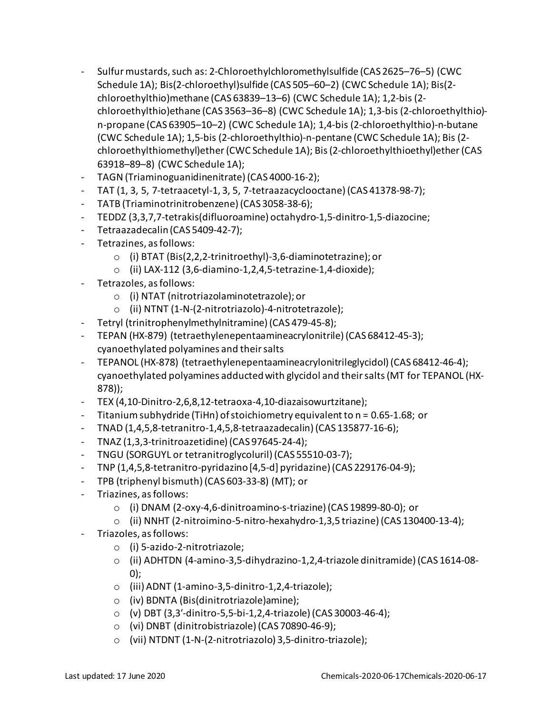- Sulfur mustards, such as: 2-Chloroethylchloromethylsulfide (CAS 2625–76–5) (CWC Schedule 1A); Bis(2-chloroethyl)sulfide (CAS 505–60–2) (CWC Schedule 1A); Bis(2 chloroethylthio)methane (CAS 63839–13–6) (CWC Schedule 1A); 1,2-bis (2 chloroethylthio)ethane (CAS 3563–36–8) (CWC Schedule 1A); 1,3-bis (2-chloroethylthio) n-propane (CAS 63905–10–2) (CWC Schedule 1A); 1,4-bis (2-chloroethylthio)-n-butane (CWC Schedule 1A); 1,5-bis (2-chloroethylthio)-n-pentane (CWC Schedule 1A); Bis (2 chloroethylthiomethyl)ether (CWC Schedule 1A); Bis (2-chloroethylthioethyl)ether (CAS 63918–89–8) (CWC Schedule 1A);
- TAGN (Triaminoguanidinenitrate) (CAS 4000-16-2);
- TAT (1, 3, 5, 7-tetraacetyl-1, 3, 5, 7-tetraazacyclooctane)(CAS 41378-98-7);
- TATB (Triaminotrinitrobenzene) (CAS 3058-38-6);
- TEDDZ (3,3,7,7-tetrakis(difluoroamine) octahydro-1,5-dinitro-1,5-diazocine;
- Tetraazadecalin (CAS 5409-42-7);
- Tetrazines, as follows:
	- o (i) BTAT (Bis(2,2,2-trinitroethyl)-3,6-diaminotetrazine); or
	- $\circ$  (ii) LAX-112 (3,6-diamino-1,2,4,5-tetrazine-1,4-dioxide);
- Tetrazoles, as follows:
	- o (i) NTAT (nitrotriazolaminotetrazole); or
	- o (ii) NTNT (1-N-(2-nitrotriazolo)-4-nitrotetrazole);
- Tetryl (trinitrophenylmethylnitramine) (CAS 479-45-8);
- TEPAN (HX-879) (tetraethylenepentaamineacrylonitrile)(CAS 68412-45-3); cyanoethylated polyamines and their salts
- TEPANOL (HX-878) (tetraethylenepentaamineacrylonitrileglycidol)(CAS 68412-46-4); cyanoethylated polyamines adducted with glycidol and theirsalts (MT for TEPANOL (HX-878));
- TEX (4,10-Dinitro-2,6,8,12-tetraoxa-4,10-diazaisowurtzitane);
- Titanium subhydride (TiHn) of stoichiometry equivalentto n = 0.65-1.68; or
- TNAD (1,4,5,8-tetranitro-1,4,5,8-tetraazadecalin) (CAS 135877-16-6);
- TNAZ (1,3,3-trinitroazetidine) (CAS 97645-24-4);
- TNGU (SORGUYL or tetranitroglycoluril) (CAS 55510-03-7);
- TNP (1,4,5,8-tetranitro-pyridazino [4,5-d] pyridazine)(CAS 229176-04-9);
- TPB (triphenyl bismuth) (CAS 603-33-8) (MT); or
- Triazines, as follows:
	- o (i) DNAM (2-oxy-4,6-dinitroamino-s-triazine) (CAS 19899-80-0); or
	- o (ii) NNHT (2-nitroimino-5-nitro-hexahydro-1,3,5 triazine)(CAS 130400-13-4);
- Triazoles, as follows:
	- o (i) 5-azido-2-nitrotriazole;
	- o (ii) ADHTDN (4-amino-3,5-dihydrazino-1,2,4-triazole dinitramide) (CAS 1614-08- 0);
	- o (iii) ADNT (1-amino-3,5-dinitro-1,2,4-triazole);
	- o (iv) BDNTA (Bis(dinitrotriazole)amine);
	- o (v) DBT (3,3′-dinitro-5,5-bi-1,2,4-triazole) (CAS 30003-46-4);
	- o (vi) DNBT (dinitrobistriazole) (CAS 70890-46-9);
	- o (vii) NTDNT (1-N-(2-nitrotriazolo) 3,5-dinitro-triazole);